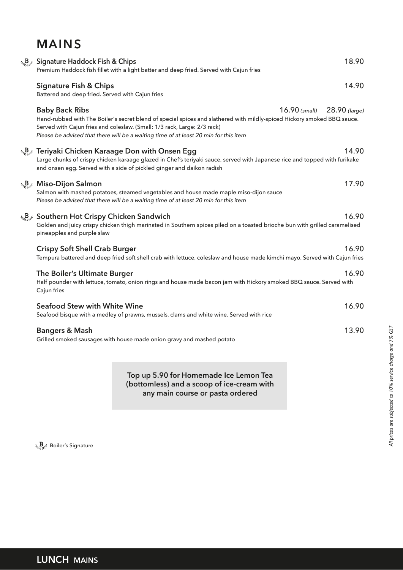# **MAINS**

| La Bignature Haddock Fish & Chips<br>Premium Haddock fish fillet with a light batter and deep fried. Served with Cajun fries                                                                                                                                                                                                                        | 18.90 |
|-----------------------------------------------------------------------------------------------------------------------------------------------------------------------------------------------------------------------------------------------------------------------------------------------------------------------------------------------------|-------|
| <b>Signature Fish &amp; Chips</b><br>Battered and deep fried. Served with Cajun fries                                                                                                                                                                                                                                                               | 14.90 |
| <b>Baby Back Ribs</b><br>16.90 (small) 28.90 (large)<br>Hand-rubbed with The Boiler's secret blend of special spices and slathered with mildly-spiced Hickory smoked BBQ sauce.<br>Served with Cajun fries and coleslaw. (Small: 1/3 rack, Large: 2/3 rack)<br>Please be advised that there will be a waiting time of at least 20 min for this item |       |
| هو B و Teriyaki Chicken Karaage Don with Onsen Egg<br>Large chunks of crispy chicken karaage glazed in Chef's teriyaki sauce, served with Japanese rice and topped with furikake<br>and onsen egg. Served with a side of pickled ginger and daikon radish                                                                                           | 14.90 |
| $\mathcal{L}_{\mathcal{L}_{\alpha},\mathcal{L}_{\beta}}$ Miso-Dijon Salmon<br>Salmon with mashed potatoes, steamed vegetables and house made maple miso-dijon sauce<br>Please be advised that there will be a waiting time of at least 20 min for this item                                                                                         | 17.90 |
| <b>A<sub>Bat</sub></b> Southern Hot Crispy Chicken Sandwich<br>Golden and juicy crispy chicken thigh marinated in Southern spices piled on a toasted brioche bun with grilled caramelised<br>pineapples and purple slaw                                                                                                                             | 16.90 |
| <b>Crispy Soft Shell Crab Burger</b><br>Tempura battered and deep fried soft shell crab with lettuce, coleslaw and house made kimchi mayo. Served with Cajun fries                                                                                                                                                                                  | 16.90 |
| The Boiler's Ultimate Burger<br>Half pounder with lettuce, tomato, onion rings and house made bacon jam with Hickory smoked BBQ sauce. Served with<br>Cajun fries                                                                                                                                                                                   | 16.90 |
| <b>Seafood Stew with White Wine</b><br>Seafood bisque with a medley of prawns, mussels, clams and white wine. Served with rice                                                                                                                                                                                                                      | 16.90 |
| <b>Bangers &amp; Mash</b><br>Grilled smoked sausages with house made onion gravy and mashed potato                                                                                                                                                                                                                                                  | 13.90 |

**Top up 5.90 for Homemade Ice Lemon Tea (bottomless) and a scoop of ice-cream with any main course or pasta ordered**

 $\Delta_{\Omega_{\Sigma}}\mathbf{B}_{\Omega_{\Sigma}}$ <sup>&</sup> Boiler's Signature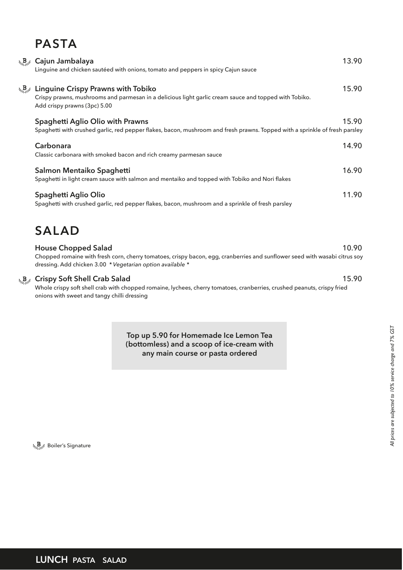## **PASTA**

| Lagated Cajun Jambalaya<br>Linguine and chicken sautéed with onions, tomato and peppers in spicy Cajun sauce                                                                                                                        | 13.90 |
|-------------------------------------------------------------------------------------------------------------------------------------------------------------------------------------------------------------------------------------|-------|
| $\mathcal{L}_{\mathcal{L}_{\mathcal{L}_{\mathcal{L}}}}$ Linguine Crispy Prawns with Tobiko<br>Crispy prawns, mushrooms and parmesan in a delicious light garlic cream sauce and topped with Tobiko.<br>Add crispy prawns (3pc) 5.00 | 15.90 |
| Spaghetti Aglio Olio with Prawns<br>Spaghetti with crushed garlic, red pepper flakes, bacon, mushroom and fresh prawns. Topped with a sprinkle of fresh parsley                                                                     | 15.90 |
| Carbonara<br>Classic carbonara with smoked bacon and rich creamy parmesan sauce                                                                                                                                                     | 14.90 |
| Salmon Mentaiko Spaghetti<br>Spaghetti in light cream sauce with salmon and mentaiko and topped with Tobiko and Nori flakes                                                                                                         | 16.90 |
| Spaghetti Aglio Olio<br>Spaghetti with crushed garlic, red pepper flakes, bacon, mushroom and a sprinkle of fresh parsley                                                                                                           | 11.90 |

## **SALAD**

#### **House Chopped Salad** 10.90

Chopped romaine with fresh corn, cherry tomatoes, crispy bacon, egg, cranberries and sunflower seed with wasabi citrus soy dressing. Add chicken 3.00 *\* Vegetarian option available \**

#### **Crispy Soft Shell Crab Salad** 15.90

Whole crispy soft shell crab with chopped romaine, lychees, cherry tomatoes, cranberries, crushed peanuts, crispy fried onions with sweet and tangy chilli dressing

> **Top up 5.90 for Homemade Ice Lemon Tea (bottomless) and a scoop of ice-cream with any main course or pasta ordered**

 $\Delta_{\mathcal{B}_2\cup\mathcal{B}^{\mathcal{B}}}$  Boiler's Signature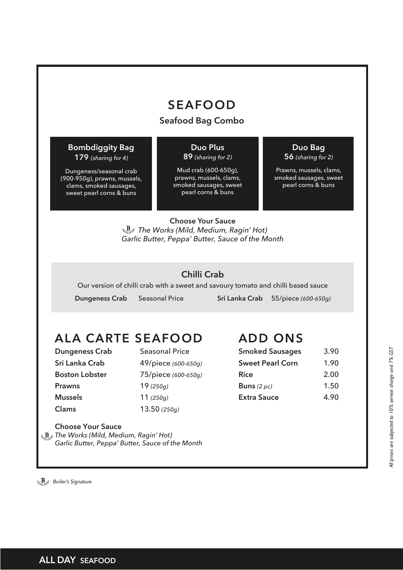## **SEAFOOD**

## **Seafood Bag Combo**

### **Bombdiggity Bag 179** *(sharing for 4)*

Dungeness/seasonal crab (900-950g), prawns, mussels, clams, smoked sausages, sweet pearl corns & buns

#### **Duo Plus 89** *(sharing for 2)*

Mud crab (600-650g), prawns, mussels, clams, smoked sausages, sweet pearl corns & buns

## **Duo Bag**

**56** *(sharing for 2)* 

Prawns, mussels, clams, smoked sausages, sweet pearl corns & buns

**Choose Your Sauce** *The Works (Mild, Medium, Ragin' Hot) Garlic Butter, Peppa' Butter, Sauce of the Month*

## **Chilli Crab**

Our version of chilli crab with a sweet and savoury tomato and chilli based sauce

 **Dungeness Crab** Seasonal Price **Sri Lanka Crab** 55/piece *(600-650g)*

# **ALA CARTE SEAFOOD**

**Prawns** 19 *(250g)* **Mussels** 11 *(250g)* **Clams** 13.50 *(250g)*

**Dungeness Crab** Seasonal Price **Sri Lanka Crab** 49/piece *(600-650g)* **Boston Lobster** 75/piece *(600-650g)*

## **ADD ONS**

| 3.90 |
|------|
| 1.90 |
| 2.00 |
| 1.50 |
| 4.90 |
|      |

**Choose Your Sauce** *The Works (Mild, Medium, Ragin' Hot)*

*Garlic Butter, Peppa' Butter, Sauce of the Month*

*Boiler's Signature*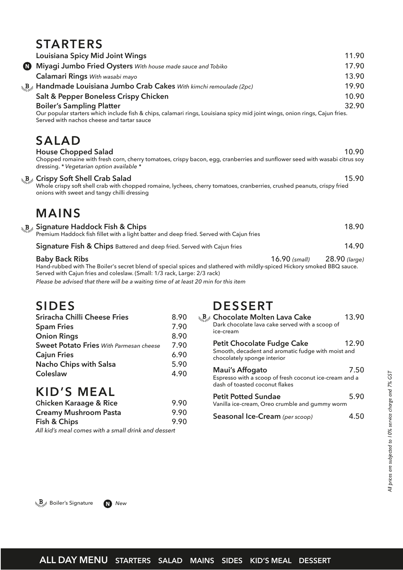## **STARTERS**

|     | <b>Louisiana Spicy Mid Joint Wings</b>                                                                                                                                                                         |               | 11.90         |
|-----|----------------------------------------------------------------------------------------------------------------------------------------------------------------------------------------------------------------|---------------|---------------|
| (N) | Miyagi Jumbo Fried Oysters With house made sauce and Tobiko                                                                                                                                                    |               | 17.90         |
|     | Calamari Rings With wasabi mayo                                                                                                                                                                                |               | 13.90         |
|     | La Back Handmade Louisiana Jumbo Crab Cakes With kimchi remoulade (2pc)                                                                                                                                        |               | 19.90         |
|     | Salt & Pepper Boneless Crispy Chicken                                                                                                                                                                          |               | 10.90         |
|     | <b>Boiler's Sampling Platter</b>                                                                                                                                                                               |               | 32.90         |
|     | Our popular starters which include fish & chips, calamari rings, Louisiana spicy mid joint wings, onion rings, Cajun fries.<br>Served with nachos cheese and tartar sauce                                      |               |               |
|     | <b>SALAD</b>                                                                                                                                                                                                   |               |               |
|     | <b>House Chopped Salad</b><br>Chopped romaine with fresh corn, cherry tomatoes, crispy bacon, egg, cranberries and sunflower seed with wasabi citrus soy<br>dressing. * Vegetarian option available *          |               | 10.90         |
|     | La Bage Crispy Soft Shell Crab Salad<br>Whole crispy soft shell crab with chopped romaine, lychees, cherry tomatoes, cranberries, crushed peanuts, crispy fried<br>onions with sweet and tangy chilli dressing |               | 15.90         |
|     | <b>MAINS</b>                                                                                                                                                                                                   |               |               |
|     | L <sub>34</sub> B <sub>34</sub> Signature Haddock Fish & Chips<br>Premium Haddock fish fillet with a light batter and deep fried. Served with Cajun fries                                                      |               | 18.90         |
|     | Signature Fish & Chips Battered and deep fried. Served with Cajun fries                                                                                                                                        |               | 14.90         |
|     | <b>Baby Back Ribs</b><br>Hand-rubbed with The Boiler's secret blend of special spices and slathered with mildly-spiced Hickory smoked BBQ sauce.                                                               | 16.90 (small) | 28.90 (large) |

Served with Cajun fries and coleslaw. (Small: 1/3 rack, Large: 2/3 rack)

*Please be advised that there will be a waiting time of at least 20 min for this item*

# **SIDES**

| Sriracha Chilli Cheese Fries                   | 8.90 |
|------------------------------------------------|------|
| <b>Spam Fries</b>                              | 7.90 |
| <b>Onion Rings</b>                             | 8.90 |
| <b>Sweet Potato Fries</b> With Parmesan cheese | 7.90 |
| <b>Cajun Fries</b>                             | 6.90 |
| Nacho Chips with Salsa                         | 5.90 |
| Coleslaw                                       | 4.90 |
|                                                |      |

## **KID'S MEAL**

| <b>Chicken Karaage &amp; Rice</b>                                                | 9.90 |
|----------------------------------------------------------------------------------|------|
| <b>Creamy Mushroom Pasta</b>                                                     | 9.90 |
| Fish & Chips                                                                     | 9.90 |
| والمستحدث والمستحدث والمتاري المستحدث والمغارب ومستحدث والمستحدث والملاح الملامي |      |

*All kid's meal comes with a small drink and dessert*

## **DESSERT**

| <b>S<sub>Servi</sub>t</b> Chocolate Molten Lava Cake<br>Dark chocolate lava cake served with a scoop of<br>ice-cream | 13.90                                                                                                                                                          |
|----------------------------------------------------------------------------------------------------------------------|----------------------------------------------------------------------------------------------------------------------------------------------------------------|
| <b>Petit Chocolate Fudge Cake</b><br>chocolately sponge interior                                                     | 12.90                                                                                                                                                          |
| Maui's Affogato<br>dash of toasted coconut flakes                                                                    | 7.50                                                                                                                                                           |
| <b>Petit Potted Sundae</b>                                                                                           | 5.90                                                                                                                                                           |
| Seasonal Ice-Cream (per scoop)                                                                                       | 4 50                                                                                                                                                           |
|                                                                                                                      | Smooth, decadent and aromatic fudge with moist and<br>Espresso with a scoop of fresh coconut ice-cream and a<br>Vanilla ice-cream, Oreo crumble and gummy worm |

 $\mathcal{B}_{\mu_{1},\mu_{2}}$  Boiler's Signature **N** New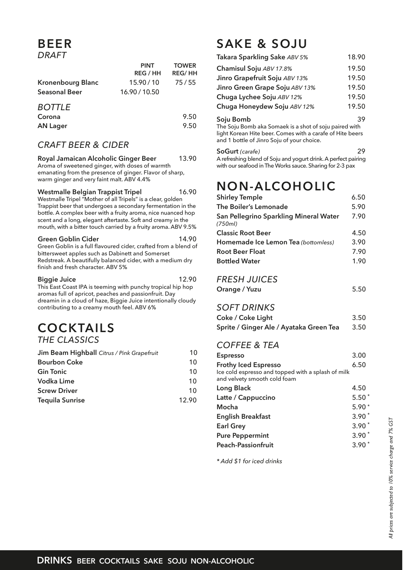## **BEER** *DRAFT*

|                                                  | <b>PINT</b><br><b>REG / HH</b> | <b>TOWER</b><br><b>REG/HH</b> |
|--------------------------------------------------|--------------------------------|-------------------------------|
| <b>Kronenbourg Blanc</b><br><b>Seasonal Beer</b> | 15.90/10<br>16.90 / 10.50      | 75/55                         |
| <b>BOTTLE</b><br>$C_{\alpha}$                    |                                |                               |

| Corona          | 9.50 |
|-----------------|------|
| <b>AN Lager</b> | 9.50 |

## *CRAFT BEER & CIDER*

#### **Royal Jamaican Alcoholic Ginger Beer** 13.90 Aroma of sweetened ginger, with doses of warmth emanating from the presence of ginger. Flavor of sharp, warm ginger and very faint malt. ABV 4.4%

#### **Westmalle Belgian Trappist Tripel** 16.90

Westmalle Tripel "Mother of all Tripels" is a clear, golden Trappist beer that undergoes a secondary fermentation in the bottle. A complex beer with a fruity aroma, nice nuanced hop scent and a long, elegant aftertaste. Soft and creamy in the mouth, with a bitter touch carried by a fruity aroma. ABV 9.5%

#### **Green Goblin Cider** 14.90

Green Goblin is a full flavoured cider, crafted from a blend of bittersweet apples such as Dabinett and Somerset Redstreak. A beautifully balanced cider, with a medium dry finish and fresh character. ABV 5%

#### **Biggie Juice** 12.90

This East Coast IPA is teeming with punchy tropical hip hop aromas full of apricot, peaches and passionfruit. Day dreamin in a cloud of haze, Biggie Juice intentionally cloudy contributing to a creamy mouth feel. ABV 6%

## **COCKTAILS** *THE CLASSICS*

| Jim Beam Highball Citrus / Pink Grapefruit | 10    | <b>Espresso</b>                                    | 3.00             |
|--------------------------------------------|-------|----------------------------------------------------|------------------|
| <b>Bourbon Coke</b>                        | 10    | <b>Frothy Iced Espresso</b>                        | 6.50             |
| <b>Gin Tonic</b>                           | 10    | Ice cold espresso and topped with a splash of milk |                  |
| <b>Vodka Lime</b>                          | 10    | and velvety smooth cold foam                       |                  |
| <b>Screw Driver</b>                        | 10    | Long Black                                         | 4.50             |
| <b>Tequila Sunrise</b>                     | 12.90 | Latte / Cappuccino                                 | $5.50*$          |
|                                            |       |                                                    | $F \cap \bigcap$ |

# **SAKE & SOJU**

| Takara Sparkling Sake ABV 5%                                           | 18.90 |
|------------------------------------------------------------------------|-------|
| Chamisul Soju ABV 17.8%                                                | 19.50 |
| Jinro Grapefruit Soju ABV 13%                                          | 19.50 |
| Jinro Green Grape Soju ABV 13%                                         | 19.50 |
| Chuga Lychee Soju ABV 12%                                              | 19.50 |
| Chuga Honeydew Soju ABV 12%                                            | 19.50 |
| Soju Bomb<br>The Ceiu Domb else Comeals is a shot of soiu noiseal with | 39    |

The Soju Bomb aka Somaek is a shot of soju paired with light Korean Hite beer. Comes with a carafe of Hite beers and 1 bottle of Jinro Soju of your choice.

#### **SoGurt** *(carafe)* 29

A refreshing blend of Soju and yogurt drink. A perfect pairing with our seafood in The Works sauce. Sharing for 2-3 pax

# **NON-ALCOHOLIC**

| <b>Shirley Temple</b>                             | 6.50 |
|---------------------------------------------------|------|
| The Boiler's Lemonade                             | 5.90 |
| San Pellegrino Sparkling Mineral Water<br>(750ml) | 7.90 |
| <b>Classic Root Beer</b>                          | 4.50 |
| Homemade Ice Lemon Tea (bottomless)               | 3.90 |
| <b>Root Beer Float</b>                            | 7.90 |
| <b>Bottled Water</b>                              | 1.90 |

## *FRESH JUICES*

| Orange / Yuzu | 5.50 |
|---------------|------|
|               |      |

# *SOFT DRINKS*

| Coke / Coke Light                       | 3.50 |
|-----------------------------------------|------|
| Sprite / Ginger Ale / Ayataka Green Tea | 3.50 |

## *COFFEE & TEA*

| <b>Espresso</b>                                                                    | 3.00    |
|------------------------------------------------------------------------------------|---------|
| <b>Frothy Iced Espresso</b>                                                        | 6.50    |
| Ice cold espresso and topped with a splash of milk<br>and velvety smooth cold foam |         |
| Long Black                                                                         | 4.50    |
| Latte / Cappuccino                                                                 | $5.50*$ |
| Mocha                                                                              | $5.90*$ |
| <b>English Breakfast</b>                                                           | $3.90*$ |
| <b>Earl Grey</b>                                                                   | $3.90*$ |
| <b>Pure Peppermint</b>                                                             | $3.90*$ |
| <b>Peach-Passionfruit</b>                                                          | $3.90*$ |
|                                                                                    |         |

*\* Add \$1 for iced drinks*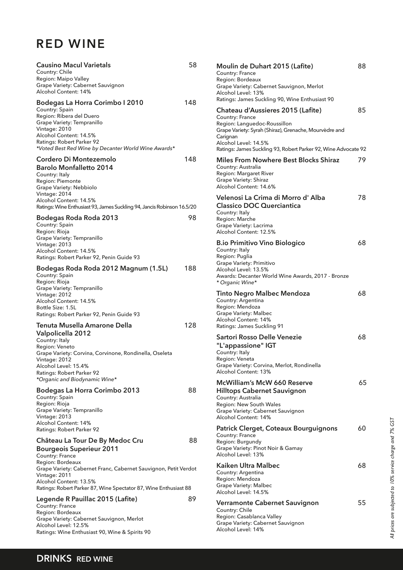# **RED WINE**

| <b>Causino Macul Varietals</b><br>Country: Chile<br>Region: Maipo Valley<br>Grape Variety: Cabernet Sauvignon<br>Alcohol Content: 14%                                                                                                                              | 58  |
|--------------------------------------------------------------------------------------------------------------------------------------------------------------------------------------------------------------------------------------------------------------------|-----|
| Bodegas La Horra Corimbo I 2010<br>Country: Spain<br>Region: Ribera del Duero<br>Grape Variety: Tempranillo<br>Vintage: 2010<br>Alcohol Content: 14.5%<br>Ratings: Robert Parker 92<br>*Voted Best Red Wine by Decanter World Wine Awards*                         | 148 |
| Cordero Di Montezemolo<br><b>Barolo Monfalletto 2014</b><br>Country: Italy<br>Region: Piemonte<br>Grape Variety: Nebbiolo<br>Vintage: 2014<br>Alcohol Content: 14.5%<br>Ratings: Wine Enthusiast 93, James Suckling 94, Jancis Robinson 16.5/20                    | 148 |
| Bodegas Roda Roda 2013<br>Country: Spain<br>Region: Rioja<br>Grape Variety: Tempranillo<br>Vintage: 2013<br>Alcohol Content: 14.5%<br>Ratings: Robert Parker 92, Penin Guide 93                                                                                    | 98  |
| Bodegas Roda Roda 2012 Magnum (1.5L)<br>Country: Spain<br>Region: Rioja<br>Grape Variety: Tempranillo<br>Vintage: 2012<br>Alcohol Content: 14.5%<br>Bottle Size: 1.5L<br>Ratings: Robert Parker 92, Penin Guide 93                                                 | 188 |
| Tenuta Musella Amarone Della<br>Valpolicella 2012<br>Country: Italy<br>Region: Veneto<br>Grape Variety: Corvina, Corvinone, Rondinella, Oseleta<br>Vintage: 2012<br>Alcohol Level: 15.4%<br>Ratings: Robert Parker 92<br>*Organic and Biodynamic Wine*             | 128 |
| Bodegas La Horra Corimbo 2013<br>Country: Spain<br>Region: Rioja<br>Grape Variety: Tempranillo<br>Vintage: 2013<br>Alcohol Content: 14%<br>Ratings: Robert Parker 92                                                                                               | 88  |
| Château La Tour De By Medoc Cru<br><b>Bourgeois Superieur 2011</b><br>Country: France<br>Region: Bordeaux<br>Grape Variety: Cabernet Franc, Cabernet Sauvignon, Petit Verdot<br>Vintage: 2011<br>Alcohol Content: 13.5%                                            | 88  |
| Ratings: Robert Parker 87, Wine Spectator 87, Wine Enthusiast 88<br>Legende R Pauillac 2015 (Lafite)<br>Country: France<br>Region: Bordeaux<br>Grape Variety: Cabernet Sauvignon, Merlot<br>Alcohol Level: 12.5%<br>Ratings: Wine Enthusiast 90, Wine & Spirits 90 | 89  |

| Moulin de Duhart 2015 (Lafite)<br>Country: France                                                                                                                                                                 | 88 |
|-------------------------------------------------------------------------------------------------------------------------------------------------------------------------------------------------------------------|----|
| Region: Bordeaux<br>Grape Variety: Cabernet Sauvignon, Merlot<br>Alcohol Level: 13%<br>Ratings: James Suckling 90, Wine Enthusiast 90                                                                             |    |
| Chateau d'Aussieres 2015 (Lafite)<br>Country: France<br>Region: Languedoc-Roussillon<br>Grape Variety: Syrah (Shiraz), Grenache, Mourvèdre and<br>Carignan<br>Alcohol Level: 14.5%                                | 85 |
| Ratings: James Suckling 93, Robert Parker 92, Wine Advocate 92<br>Miles From Nowhere Best Blocks Shiraz<br>Country: Australia<br><b>Region: Margaret River</b><br>Grape Variety: Shiraz<br>Alcohol Content: 14.6% | 79 |
| Velenosi La Crima di Morro d'Alba<br><b>Classico DOC Querciantica</b><br>Country: Italy<br>Region: Marche<br>Grape Variety: Lacrima<br>Alcohol Content: 12.5%                                                     | 78 |
| <b>B.io Primitivo Vino Biologico</b><br>Country: Italy<br>Region: Puglia<br>Grape Variety: Primitivo<br>Alcohol Level: 13.5%<br>Awards: Decanter World Wine Awards, 2017 - Bronze<br>* Organic Wine*              | 68 |
| <b>Tinto Negro Malbec Mendoza</b><br>Country: Argentina<br>Region: Mendoza<br>Grape Variety: Malbec<br>Alcohol Content: 14%<br>Ratings: James Suckling 91                                                         | 68 |
| Sartori Rosso Delle Venezie<br>"L'appassione" IGT<br>Country: Italy<br>Region: Veneta<br>Grape Variety: Corvina, Merlot, Rondinella<br>Alcohol Content: 13%                                                       | 68 |
| <b>McWilliam's McW 660 Reserve</b><br><b>Hilltops Cabernet Sauvignon</b><br>Country: Australia<br>Region: New South Wales<br>Grape Variety: Cabernet Sauvignon<br>Alcohol Content: 14%                            | 65 |
| Patrick Clerget, Coteaux Bourguignons<br>Country: France<br>Region: Burgundy<br>Grape Variety: Pinot Noir & Gamay<br>Alcohol Level: 13%                                                                           | 60 |
| Kaiken Ultra Malbec<br>Country: Argentina<br>Region: Mendoza<br>Grape Variety: Malbec<br>Alcohol Level: 14.5%                                                                                                     | 68 |
| Verramonte Cabernet Sauvignon<br>Country: Chile<br>Region: Casablanca Valley<br>Grape Variety: Cabernet Sauvignon                                                                                                 | 55 |

Alcohol Level: 14%

# All prices are subjected to 10% service charge and 7% GST *All prices are subjected to 10% service charge and 7% GST*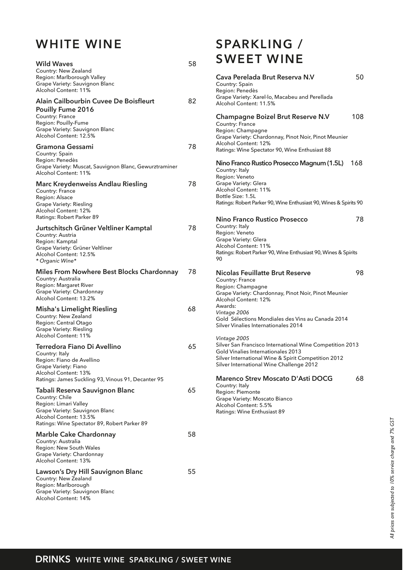## **WHITE WINE**

| <b>Wild Waves</b><br>Country: New Zealand<br>Region: Marlborough Valley<br>Grape Variety: Sauvignon Blanc<br>Alcohol Content: 11%                                                | 58 |
|----------------------------------------------------------------------------------------------------------------------------------------------------------------------------------|----|
| Alain Cailbourbin Cuvee De Boisfleurt<br>Pouilly Fume 2016<br>Country: France<br>Region: Pouilly-Fume<br>Grape Variety: Sauvignon Blanc<br>Alcohol Content: 12.5%                | 82 |
| Gramona Gessami<br>Country: Spain<br>Region: Penedès<br>Grape Variety: Muscat, Sauvignon Blanc, Gewurztraminer<br>Alcohol Content: 11%                                           | 78 |
| Marc Kreydenweiss Andlau Riesling<br>Country: France<br>Region: Alsace<br>Grape Variety: Riesling<br>Alcohol Content: 12%<br>Ratings: Robert Parker 89                           | 78 |
| Jurtschitsch Grüner Veltliner Kamptal<br>Country: Austria<br>Region: Kamptal<br>Grape Variety: Grüner Veltliner<br>Alcohol Content: 12.5%<br>* Organic Wine*                     | 78 |
| Miles From Nowhere Best Blocks Chardonnay<br>Country: Australia<br>Region: Margaret River<br>Grape Variety: Chardonnay<br>Alcohol Content: 13.2%                                 | 78 |
| <b>Misha's Limelight Riesling</b><br>Country: New Zealand<br>Region: Central Otago<br><b>Grape Variety: Riesling</b><br>Alcohol Content: 11%                                     | 68 |
| Terredora Fiano Di Avellino<br>Country: Italy<br>Region: Fiano de Avellino<br>Grape Variety: Fiano<br>Alcohol Content: 13%<br>Ratings: James Suckling 93, Vinous 91, Decanter 95 | 65 |
| Tabali Reserva Sauvignon Blanc<br>Country: Chile<br>Region: Limari Valley<br>Grape Variety: Sauvignon Blanc<br>Alcohol Content: 13.5%                                            | 65 |
| Ratings: Wine Spectator 89, Robert Parker 89<br>Marble Cake Chardonnay<br>Country: Australia<br>Region: New South Wales<br>Grape Variety: Chardonnay<br>Alcohol Content: 13%     | 58 |
| Lawson's Dry Hill Sauvignon Blanc<br>Country: New Zealand<br>Region: Marlborough<br>Grape Variety: Sauvignon Blanc<br>Alcohol Content: 14%                                       | 55 |

## **SPARKLING / SWEET WINE**

| Cava Perelada Brut Reserva N.V<br>Country: Spain<br>Region: Penedès                                                                                                                                                                                                                    | 50  |
|----------------------------------------------------------------------------------------------------------------------------------------------------------------------------------------------------------------------------------------------------------------------------------------|-----|
| Grape Variety: Xarel·lo, Macabeu and Perellada<br>Alcohol Content: 11.5%                                                                                                                                                                                                               |     |
| <b>Champagne Boizel Brut Reserve N.V</b><br>Country: France<br>Region: Champagne<br>Grape Variety: Chardonnay, Pinot Noir, Pinot Meunier<br>Alcohol Content: 12%<br>Ratings: Wine Spectator 90, Wine Enthusiast 88                                                                     | 108 |
| Nino Franco Rustico Prosecco Magnum (1.5L) 168<br>Country: Italy<br>Region: Veneto<br>Grape Variety: Glera<br>Alcohol Content: 11%<br>Bottle Size: 1.5L<br>Ratings: Robert Parker 90, Wine Enthusiast 90, Wines & Spirits 90                                                           |     |
|                                                                                                                                                                                                                                                                                        |     |
| Nino Franco Rustico Prosecco<br>Country: Italy<br>Region: Veneto<br>Grape Variety: Glera<br>Alcohol Content: 11%<br>Ratings: Robert Parker 90, Wine Enthusiast 90, Wines & Spirits<br>90                                                                                               | 78  |
| <b>Nicolas Feuillatte Brut Reserve</b><br>Country: France<br>Region: Champagne<br>Grape Variety: Chardonnay, Pinot Noir, Pinot Meunier<br>Alcohol Content: 12%<br>Awards:<br>Vintage 2006<br>Gold Sélections Mondiales des Vins au Canada 2014<br>Silver Vinalies Internationales 2014 | 98  |
| Vintage 2005<br>Silver San Francisco International Wine Competition 2013<br>Gold Vinalies Internationales 2013<br>Silver International Wine & Spirit Competition 2012<br>Silver International Wine Challenge 2012                                                                      |     |
| <b>Marenco Strev Moscato D'Asti DOCG</b><br>Country: Italy<br>Region: Piemonte<br>Grape Variety: Moscato Bianco<br>Alcohol Content: 5.5%<br>Ratings: Wine Enthusiast 89                                                                                                                | 68  |
|                                                                                                                                                                                                                                                                                        |     |

All prices are subjected to 10% service charge and 7% GST *All prices are subjected to 10% service charge and 7% GST*